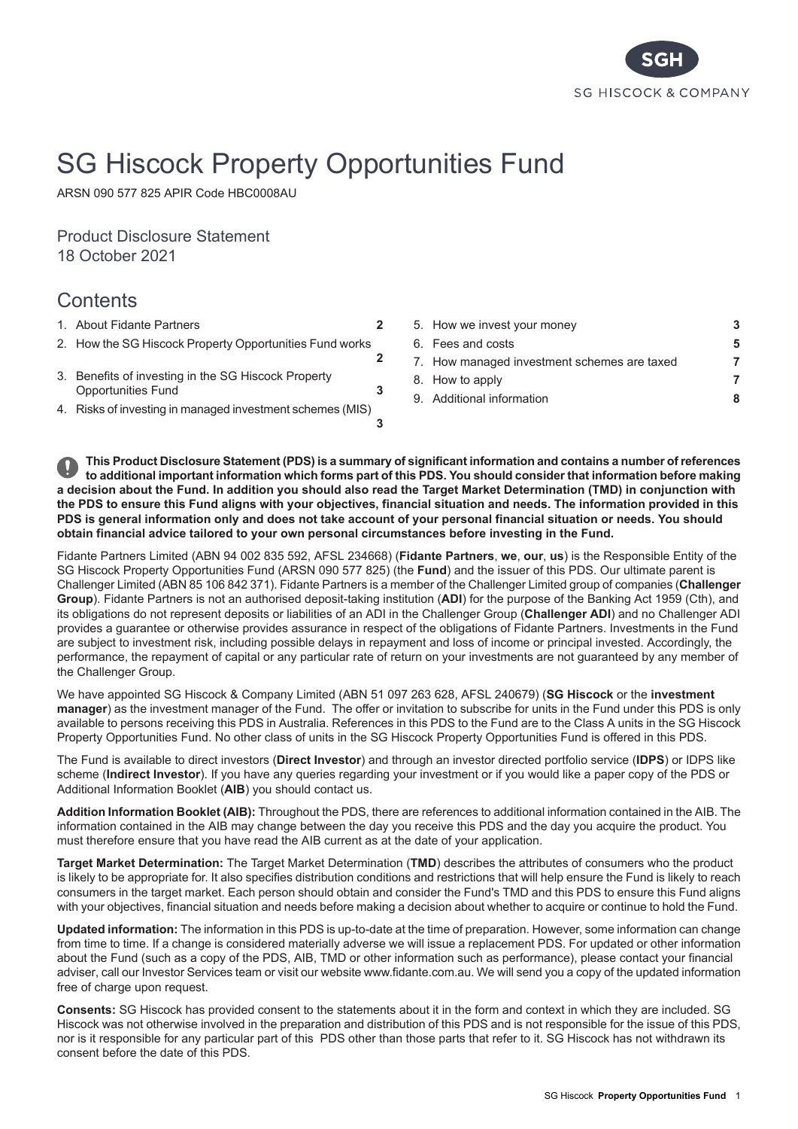

# SG Hiscock Property Opportunities Fund

ARSN 090 577 825 APIR Code HBC0008AU

Product Disclosure Statement 18 October 2021

# **Contents**

- 
- **[2](#page-1-1)** 2. How the SG Hiscock Property [Opportunities](#page-1-1) Fund works
- 3. Benefits of [investing](#page-2-1) in the SG Hiscock Property [Opportunities](#page-2-1) Fund
- 4. Risks of investing in managed [investment](#page-2-2) schemes (MIS)
- 1. About Fidante [Partners](#page-1-0) **[2](#page-1-0)** 5. How we invest your [money](#page-2-0) **[3](#page-2-0)** 6. Fees and [costs](#page-4-0) **[5](#page-4-0)** 7. How managed [investment](#page-6-0) schemes are taxed **[7](#page-6-0)** 8. How to [apply](#page-6-1) **[7](#page-6-1)** 9. Additional [information](#page-7-0) **[8](#page-7-0)**

This Product Disclosure Statement (PDS) is a summary of significant information and contains a number of references to additional important information which forms part of this PDS. You should consider that information before making a decision about the Fund. In addition you should also read the Target Market Determination (TMD) in conjunction with the PDS to ensure this Fund aligns with your objectives, financial situation and needs. The information provided in this PDS is general information only and does not take account of your personal financial situation or needs. You should **obtain financial advice tailored to your own personal circumstances before investing in the Fund.**

**[3](#page-2-1)**

**[3](#page-2-2)**

Fidante Partners Limited (ABN 94 002 835 592, AFSL 234668) (**Fidante Partners**, **we**, **our**, **us**) is the Responsible Entity of the SG Hiscock Property Opportunities Fund (ARSN 090 577 825) (the **Fund**) and the issuer of this PDS. Our ultimate parent is Challenger Limited (ABN 85 106 842 371). Fidante Partners is a member of the Challenger Limited group of companies (**Challenger Group**). Fidante Partners is not an authorised deposit-taking institution (**ADI**) for the purpose of the Banking Act 1959 (Cth), and its obligations do not represent deposits or liabilities of an ADI in the Challenger Group (**Challenger ADI**) and no Challenger ADI provides a guarantee or otherwise provides assurance in respect of the obligations of Fidante Partners. Investments in the Fund are subject to investment risk, including possible delays in repayment and loss of income or principal invested. Accordingly, the performance, the repayment of capital or any particular rate of return on your investments are not guaranteed by any member of the Challenger Group.

We have appointed SG Hiscock & Company Limited (ABN 51 097 263 628, AFSL 240679) (**SG Hiscock** or the **investment manager**) as the investment manager of the Fund. The offer or invitation to subscribe for units in the Fund under this PDS is only available to persons receiving this PDS in Australia. References in this PDS to the Fund are to the Class A units in the SG Hiscock Property Opportunities Fund. No other class of units in the SG Hiscock Property Opportunities Fund is offered in this PDS.

The Fund is available to direct investors (**Direct Investor**) and through an investor directed portfolio service (**IDPS**) or IDPS like scheme (**Indirect Investor**). If you have any queries regarding your investment or if you would like a paper copy of the PDS or Additional Information Booklet (**AIB**) you should contact us.

**Addition Information Booklet (AIB):** Throughout the PDS, there are references to additional information contained in the AIB. The information contained in the AIB may change between the day you receive this PDS and the day you acquire the product. You must therefore ensure that you have read the AIB current as at the date of your application.

**Target Market Determination:** The Target Market Determination (**TMD**) describes the attributes of consumers who the product is likely to be appropriate for. It also specifies distribution conditions and restrictions that will help ensure the Fund is likely to reach consumers in the target market. Each person should obtain and consider the Fund's TMD and this PDS to ensure this Fund aligns with your objectives, financial situation and needs before making a decision about whether to acquire or continue to hold the Fund.

**Updated information:** The information in this PDS is up-to-date at the time of preparation. However, some information can change from time to time. If a change is considered materially adverse we will issue a replacement PDS. For updated or other information about the Fund (such as a copy of the PDS, AIB, TMD or other information such as performance), please contact your financial adviser, call our Investor Services team or visit our website www.fidante.com.au. We will send you a copy of the updated information free of charge upon request.

**Consents:** SG Hiscock has provided consent to the statements about it in the form and context in which they are included. SG Hiscock was not otherwise involved in the preparation and distribution of this PDS and is not responsible for the issue of this PDS, nor is it responsible for any particular part of this PDS other than those parts that refer to it. SG Hiscock has not withdrawn its consent before the date of this PDS.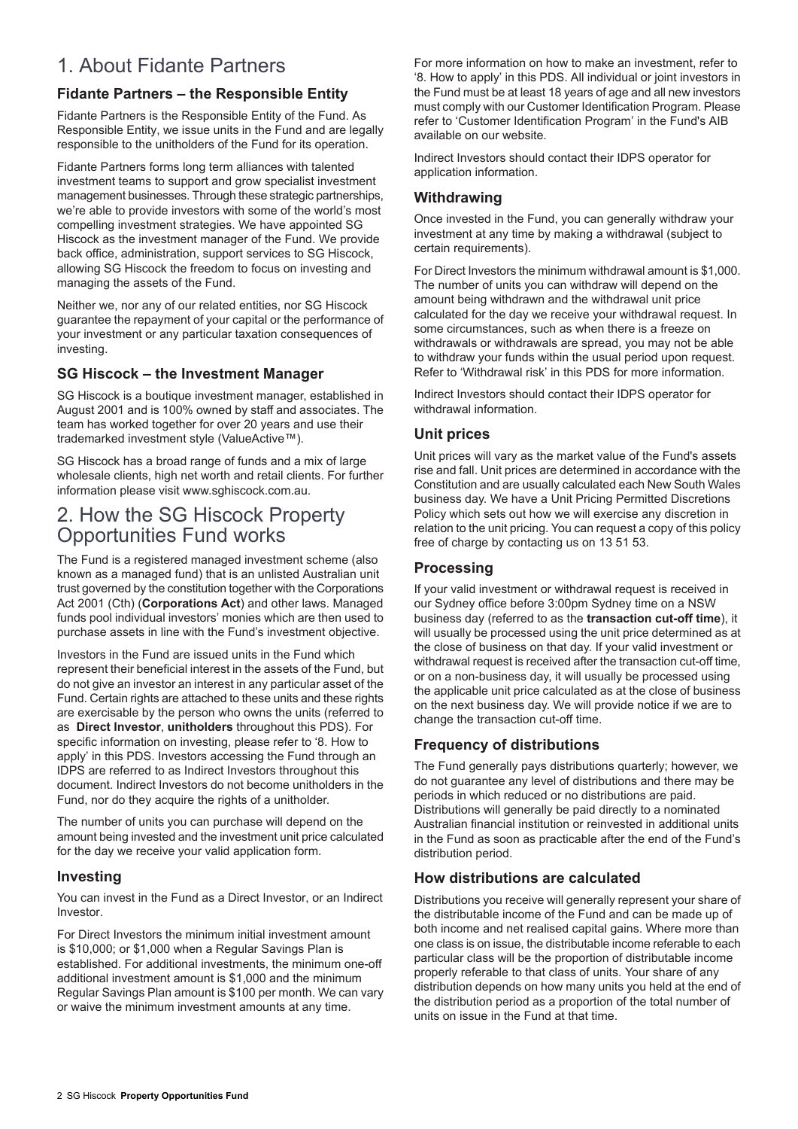# <span id="page-1-0"></span>1. About Fidante Partners

# **Fidante Partners – the Responsible Entity**

Fidante Partners is the Responsible Entity of the Fund. As Responsible Entity, we issue units in the Fund and are legally responsible to the unitholders of the Fund for its operation.

Fidante Partners forms long term alliances with talented investment teams to support and grow specialist investment management businesses. Through these strategic partnerships, we're able to provide investors with some of the world's most compelling investment strategies. We have appointed SG Hiscock as the investment manager of the Fund. We provide back office, administration, support services to SG Hiscock, allowing SG Hiscock the freedom to focus on investing and managing the assets of the Fund.

Neither we, nor any of our related entities, nor SG Hiscock guarantee the repayment of your capital or the performance of your investment or any particular taxation consequences of investing.

### **SG Hiscock – the Investment Manager**

SG Hiscock is a boutique investment manager, established in August 2001 and is 100% owned by staff and associates. The team has worked together for over 20 years and use their trademarked investment style (ValueActive™).

<span id="page-1-1"></span>SG Hiscock has a broad range of funds and a mix of large wholesale clients, high net worth and retail clients. For further information please visit www.sghiscock.com.au.

# 2. How the SG Hiscock Property Opportunities Fund works

The Fund is a registered managed investment scheme (also known as a managed fund) that is an unlisted Australian unit trust governed by the constitution together with the Corporations Act 2001 (Cth) (**Corporations Act**) and other laws. Managed funds pool individual investors' monies which are then used to purchase assets in line with the Fund's investment objective.

Investors in the Fund are issued units in the Fund which represent their beneficial interest in the assets of the Fund, but do not give an investor an interest in any particular asset of the Fund. Certain rights are attached to these units and these rights are exercisable by the person who owns the units (referred to as **Direct Investor**, **unitholders** throughout this PDS). For specific information on investing, please refer to '8. How to apply' in this PDS. Investors accessing the Fund through an IDPS are referred to as Indirect Investors throughout this document. Indirect Investors do not become unitholders in the Fund, nor do they acquire the rights of a unitholder.

The number of units you can purchase will depend on the amount being invested and the investment unit price calculated for the day we receive your valid application form.

### **Investing**

You can invest in the Fund as a Direct Investor, or an Indirect Investor.

For Direct Investors the minimum initial investment amount is \$10,000; or \$1,000 when a Regular Savings Plan is established. For additional investments, the minimum one-off additional investment amount is \$1,000 and the minimum Regular Savings Plan amount is \$100 per month. We can vary or waive the minimum investment amounts at any time.

For more information on how to make an investment, refer to '8. How to apply' in this PDS. All individual or joint investors in the Fund must be at least 18 years of age and all new investors must comply with our Customer Identification Program. Please refer to 'Customer Identification Program' in the Fund's AIB available on our website.

Indirect Investors should contact their IDPS operator for application information.

### **Withdrawing**

Once invested in the Fund, you can generally withdraw your investment at any time by making a withdrawal (subject to certain requirements).

For Direct Investors the minimum withdrawal amount is \$1,000. The number of units you can withdraw will depend on the amount being withdrawn and the withdrawal unit price calculated for the day we receive your withdrawal request. In some circumstances, such as when there is a freeze on withdrawals or withdrawals are spread, you may not be able to withdraw your funds within the usual period upon request. Refer to 'Withdrawal risk' in this PDS for more information.

Indirect Investors should contact their IDPS operator for withdrawal information.

# **Unit prices**

Unit prices will vary as the market value of the Fund's assets rise and fall. Unit prices are determined in accordance with the Constitution and are usually calculated each New South Wales business day. We have a Unit Pricing Permitted Discretions Policy which sets out how we will exercise any discretion in relation to the unit pricing. You can request a copy of this policy free of charge by contacting us on 13 51 53.

### **Processing**

If your valid investment or withdrawal request is received in our Sydney office before 3:00pm Sydney time on a NSW business day (referred to as the **transaction cut-off time**), it will usually be processed using the unit price determined as at the close of business on that day. If your valid investment or withdrawal request is received after the transaction cut-off time, or on a non-business day, it will usually be processed using the applicable unit price calculated as at the close of business on the next business day. We will provide notice if we are to change the transaction cut-off time.

# **Frequency of distributions**

The Fund generally pays distributions quarterly; however, we do not guarantee any level of distributions and there may be periods in which reduced or no distributions are paid. Distributions will generally be paid directly to a nominated Australian financial institution or reinvested in additional units in the Fund as soon as practicable after the end of the Fund's distribution period.

# **How distributions are calculated**

Distributions you receive will generally represent your share of the distributable income of the Fund and can be made up of both income and net realised capital gains. Where more than one class is on issue, the distributable income referable to each particular class will be the proportion of distributable income properly referable to that class of units. Your share of any distribution depends on how many units you held at the end of the distribution period as a proportion of the total number of units on issue in the Fund at that time.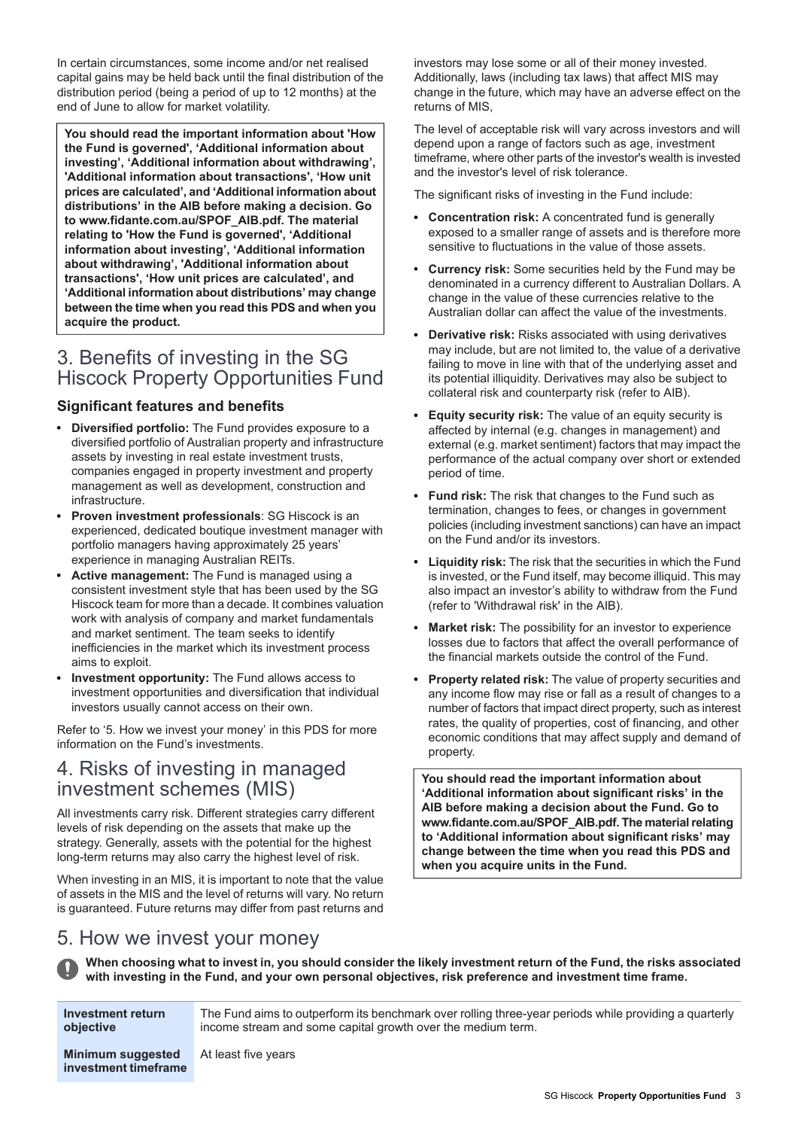In certain circumstances, some income and/or net realised capital gains may be held back until the final distribution of the distribution period (being a period of up to 12 months) at the end of June to allow for market volatility.

**You should read the important information about 'How the Fund is governed', 'Additional information about investing', 'Additional information about withdrawing', 'Additional information about transactions', 'How unit prices are calculated', and 'Additional information about distributions' in the AIB before making a decision. Go to www.fidante.com.au/SPOF\_AIB.pdf. The material relating to 'How the Fund is governed', 'Additional information about investing', 'Additional information about withdrawing', 'Additional information about transactions', 'How unit prices are calculated', and 'Additional information about distributions' may change between the time when you read this PDS and when you acquire the product.**

# <span id="page-2-1"></span>3. Benefits of investing in the SG Hiscock Property Opportunities Fund

# **Significant features and benefits**

- **Diversified portfolio:** The Fund provides exposure to a diversified portfolio of Australian property and infrastructure assets by investing in real estate investment trusts, companies engaged in property investment and property management as well as development, construction and infrastructure.
- **Proven investment professionals**: SG Hiscock is an experienced, dedicated boutique investment manager with portfolio managers having approximately 25 years' experience in managing Australian REITs.
- **Active management:** The Fund is managed using a consistent investment style that has been used by the SG Hiscock team for more than a decade. It combines valuation work with analysis of company and market fundamentals and market sentiment. The team seeks to identify inefficiencies in the market which its investment process aims to exploit.
- <span id="page-2-2"></span>**Investment opportunity:** The Fund allows access to investment opportunities and diversification that individual investors usually cannot access on their own.

Refer to '5. How we invest your money' in this PDS for more information on the Fund's investments.

# 4. Risks of investing in managed investment schemes (MIS)

<span id="page-2-0"></span>All investments carry risk. Different strategies carry different levels of risk depending on the assets that make up the strategy. Generally, assets with the potential for the highest long-term returns may also carry the highest level of risk.

When investing in an MIS, it is important to note that the value of assets in the MIS and the level of returns will vary. No return is guaranteed. Future returns may differ from past returns and

investors may lose some or all of their money invested. Additionally, laws (including tax laws) that affect MIS may change in the future, which may have an adverse effect on the returns of MIS,

The level of acceptable risk will vary across investors and will depend upon a range of factors such as age, investment timeframe, where other parts of the investor's wealth is invested and the investor's level of risk tolerance.

The significant risks of investing in the Fund include:

- **Concentration risk:** A concentrated fund is generally exposed to a smaller range of assets and is therefore more sensitive to fluctuations in the value of those assets.
- **Currency risk:** Some securities held by the Fund may be denominated in a currency different to Australian Dollars. A change in the value of these currencies relative to the Australian dollar can affect the value of the investments.
- **Derivative risk:** Risks associated with using derivatives may include, but are not limited to, the value of a derivative failing to move in line with that of the underlying asset and its potential illiquidity. Derivatives may also be subject to collateral risk and counterparty risk (refer to AIB).
- **Equity security risk:** The value of an equity security is affected by internal (e.g. changes in management) and external (e.g. market sentiment) factors that may impact the performance of the actual company over short or extended period of time.
- **Fund risk:** The risk that changes to the Fund such as termination, changes to fees, or changes in government policies (including investment sanctions) can have an impact on the Fund and/or its investors.
- **Liquidity risk:** The risk that the securities in which the Fund is invested, or the Fund itself, may become illiquid. This may also impact an investor's ability to withdraw from the Fund (refer to 'Withdrawal risk' in the AIB).
- **Market risk:** The possibility for an investor to experience losses due to factors that affect the overall performance of the financial markets outside the control of the Fund.
- **Property related risk:** The value of property securities and any income flow may rise or fall as a result of changes to a number of factors that impact direct property, such as interest rates, the quality of properties, cost of financing, and other economic conditions that may affect supply and demand of property.

**You should read the important information about 'Additional information about significant risks' in the AIB before making a decision about the Fund. Go to** www.fidante.com.au/SPOF\_AIB.pdf. The material relating **to 'Additional information about significant risks' may change between the time when you read this PDS and when you acquire units in the Fund.**

# 5. How we invest your money

When choosing what to invest in, you should consider the likely investment return of the Fund, the risks associated **with investing in the Fund, and your own personal objectives, risk preference and investment time frame.**

**Investment return objective**

The Fund aims to outperform its benchmark over rolling three-year periods while providing a quarterly income stream and some capital growth over the medium term.

**Minimum suggested** At least five years **investment timeframe**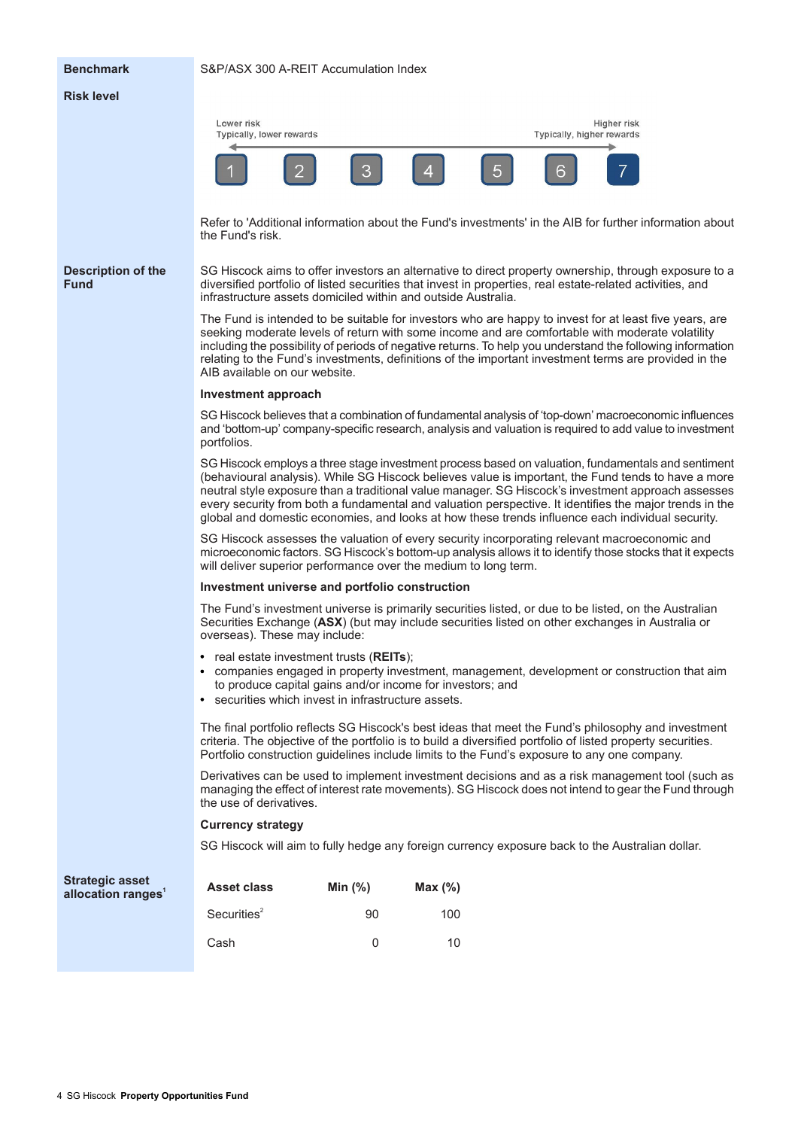#### **Benchmark** S&P/ASX 300 A-REIT Accumulation Index

#### **Risk level**



Refer to 'Additional information about the Fund's investments' in the AIB for further information about the Fund's risk.

**Description of the Fund**

SG Hiscock aims to offer investors an alternative to direct property ownership, through exposure to a diversified portfolio of listed securities that invest in properties, real estate-related activities, and infrastructure assets domiciled within and outside Australia.

The Fund is intended to be suitable for investors who are happy to invest for at least five years, are seeking moderate levels of return with some income and are comfortable with moderate volatility including the possibility of periods of negative returns. To help you understand the following information relating to the Fund's investments, definitions of the important investment terms are provided in the AIB available on our website.

#### **Investment approach**

SG Hiscock believes that a combination of fundamental analysis of 'top-down' macroeconomic influences and 'bottom-up' company-specific research, analysis and valuation is required to add value to investment portfolios.

SG Hiscock employs a three stage investment process based on valuation, fundamentals and sentiment (behavioural analysis). While SG Hiscock believes value is important, the Fund tends to have a more neutral style exposure than a traditional value manager. SG Hiscock's investment approach assesses every security from both a fundamental and valuation perspective. It identifies the major trends in the global and domestic economies, and looks at how these trends influence each individual security.

SG Hiscock assesses the valuation of every security incorporating relevant macroeconomic and microeconomic factors. SG Hiscock's bottom-up analysis allows it to identify those stocks that it expects will deliver superior performance over the medium to long term.

#### **Investment universe and portfolio construction**

The Fund's investment universe is primarily securities listed, or due to be listed, on the Australian Securities Exchange (**ASX**) (but may include securities listed on other exchanges in Australia or overseas). These may include:

- real estate investment trusts (**REITs**);
- companies engaged in property investment, management, development or construction that aim  $\bullet$ to produce capital gains and/or income for investors; and
- securities which invest in infrastructure assets.

The final portfolio reflects SG Hiscock's best ideas that meet the Fund's philosophy and investment criteria. The objective of the portfolio is to build a diversified portfolio of listed property securities. Portfolio construction guidelines include limits to the Fund's exposure to any one company.

Derivatives can be used to implement investment decisions and as a risk management tool (such as managing the effect of interest rate movements). SG Hiscock does not intend to gear the Fund through the use of derivatives.

#### **Currency strategy**

SG Hiscock will aim to fully hedge any foreign currency exposure back to the Australian dollar.

| <b>Strategic asset</b><br>allocation ranges <sup>1</sup> | <b>Asset class</b>      | Min $(\%)$ | Max $(\%)$ |
|----------------------------------------------------------|-------------------------|------------|------------|
|                                                          | Securities <sup>2</sup> | 90         | 100        |
|                                                          | Cash                    |            | 10         |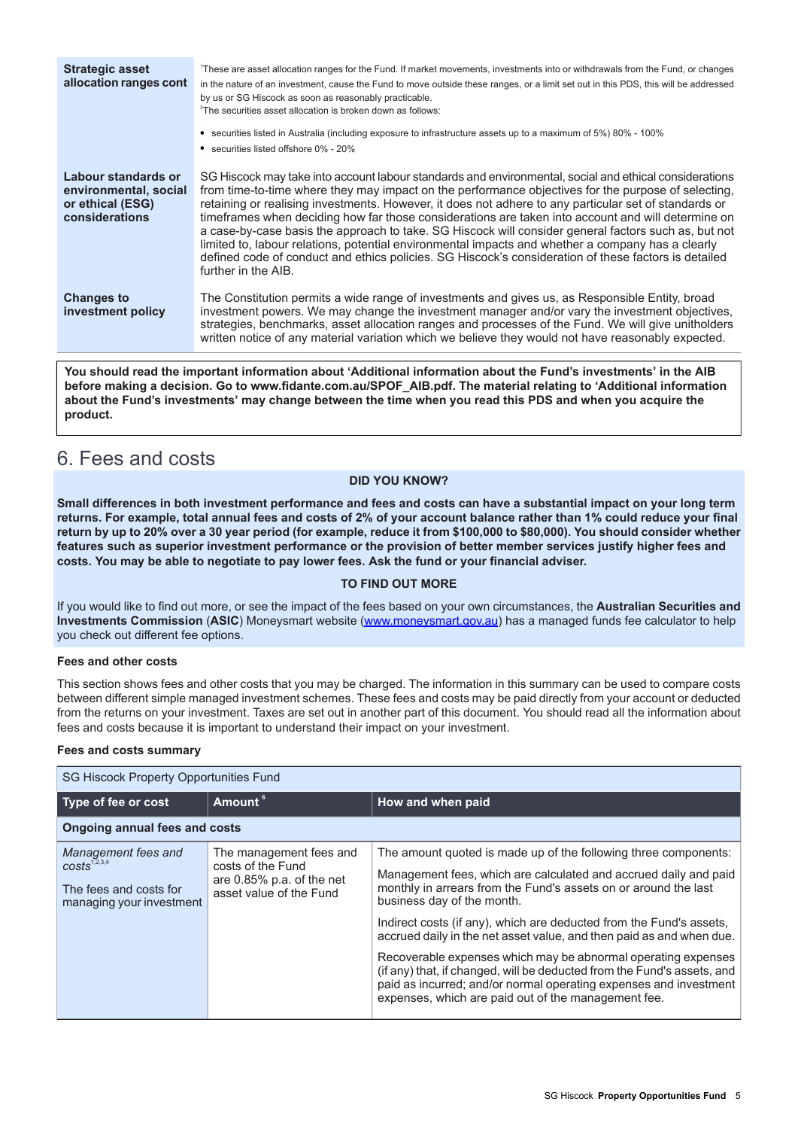| <b>Strategic asset</b><br>allocation ranges cont                                   | These are asset allocation ranges for the Fund. If market movements, investments into or withdrawals from the Fund, or changes<br>in the nature of an investment, cause the Fund to move outside these ranges, or a limit set out in this PDS, this will be addressed<br>by us or SG Hiscock as soon as reasonably practicable.<br><sup>2</sup> The securities asset allocation is broken down as follows:                                                                                                                                                                                                                                                                                                                                                               |
|------------------------------------------------------------------------------------|--------------------------------------------------------------------------------------------------------------------------------------------------------------------------------------------------------------------------------------------------------------------------------------------------------------------------------------------------------------------------------------------------------------------------------------------------------------------------------------------------------------------------------------------------------------------------------------------------------------------------------------------------------------------------------------------------------------------------------------------------------------------------|
|                                                                                    | • securities listed in Australia (including exposure to infrastructure assets up to a maximum of 5%) 80% - 100%<br>• securities listed offshore 0% - 20%                                                                                                                                                                                                                                                                                                                                                                                                                                                                                                                                                                                                                 |
| Labour standards or<br>environmental, social<br>or ethical (ESG)<br>considerations | SG Hiscock may take into account labour standards and environmental, social and ethical considerations<br>from time-to-time where they may impact on the performance objectives for the purpose of selecting,<br>retaining or realising investments. However, it does not adhere to any particular set of standards or<br>timeframes when deciding how far those considerations are taken into account and will determine on<br>a case-by-case basis the approach to take. SG Hiscock will consider general factors such as, but not<br>limited to, labour relations, potential environmental impacts and whether a company has a clearly<br>defined code of conduct and ethics policies. SG Hiscock's consideration of these factors is detailed<br>further in the AIB. |
| <b>Changes to</b><br>investment policy                                             | The Constitution permits a wide range of investments and gives us, as Responsible Entity, broad<br>investment powers. We may change the investment manager and/or vary the investment objectives,<br>strategies, benchmarks, asset allocation ranges and processes of the Fund. We will give unitholders<br>written notice of any material variation which we believe they would not have reasonably expected.                                                                                                                                                                                                                                                                                                                                                           |

<span id="page-4-0"></span>**You should read the important information about 'Additional information about the Fund's investments' in the AIB before making a decision. Go to www.fidante.com.au/SPOF\_AIB.pdf. The material relating to 'Additional information** about the Fund's investments' may change between the time when you read this PDS and when you acquire the **product.**

# 6. Fees and costs

#### **DID YOU KNOW?**

Small differences in both investment performance and fees and costs can have a substantial impact on your long term returns. For example, total annual fees and costs of 2% of your account balance rather than 1% could reduce your final return by up to 20% over a 30 year period (for example, reduce it from \$100,000 to \$80,000). You should consider whether features such as superior investment performance or the provision of better member services justify higher fees and **costs. You may be able to negotiate to pay lower fees. Ask the fund or your financial adviser.**

#### **TO FIND OUT MORE**

If you would like to find out more, or see the impact of the fees based on your own circumstances, the **Australian Securities and Investments Commission** (**ASIC**) Moneysmart website ([www.moneysmart.gov.au\)](http://www.moneysmart.gov.au) has a managed funds fee calculator to help you check out different fee options.

#### **Fees and other costs**

This section shows fees and other costs that you may be charged. The information in this summary can be used to compare costs between different simple managed investment schemes. These fees and costs may be paid directly from your account or deducted from the returns on your investment. Taxes are set out in another part of this document. You should read all the information about fees and costs because it is important to understand their impact on your investment.

#### **Fees and costs summary**

| SG Hiscock Property Opportunities Fund                                                                |                                                                                                         |                                                                                                                                                                                                                                                                                                                                                                                                                                                                                                                                                                                                                                                             |  |  |
|-------------------------------------------------------------------------------------------------------|---------------------------------------------------------------------------------------------------------|-------------------------------------------------------------------------------------------------------------------------------------------------------------------------------------------------------------------------------------------------------------------------------------------------------------------------------------------------------------------------------------------------------------------------------------------------------------------------------------------------------------------------------------------------------------------------------------------------------------------------------------------------------------|--|--|
| Type of fee or cost                                                                                   | Amount <sup>6</sup>                                                                                     | How and when paid                                                                                                                                                                                                                                                                                                                                                                                                                                                                                                                                                                                                                                           |  |  |
| <b>Ongoing annual fees and costs</b>                                                                  |                                                                                                         |                                                                                                                                                                                                                                                                                                                                                                                                                                                                                                                                                                                                                                                             |  |  |
| Management fees and<br>costs <sup>1,2,3,4</sup><br>The fees and costs for<br>managing your investment | The management fees and<br>costs of the Fund<br>are $0.85\%$ p.a. of the net<br>asset value of the Fund | The amount quoted is made up of the following three components:<br>Management fees, which are calculated and accrued daily and paid<br>monthly in arrears from the Fund's assets on or around the last<br>business day of the month.<br>Indirect costs (if any), which are deducted from the Fund's assets,<br>accrued daily in the net asset value, and then paid as and when due.<br>Recoverable expenses which may be abnormal operating expenses<br>(if any) that, if changed, will be deducted from the Fund's assets, and<br>paid as incurred; and/or normal operating expenses and investment<br>expenses, which are paid out of the management fee. |  |  |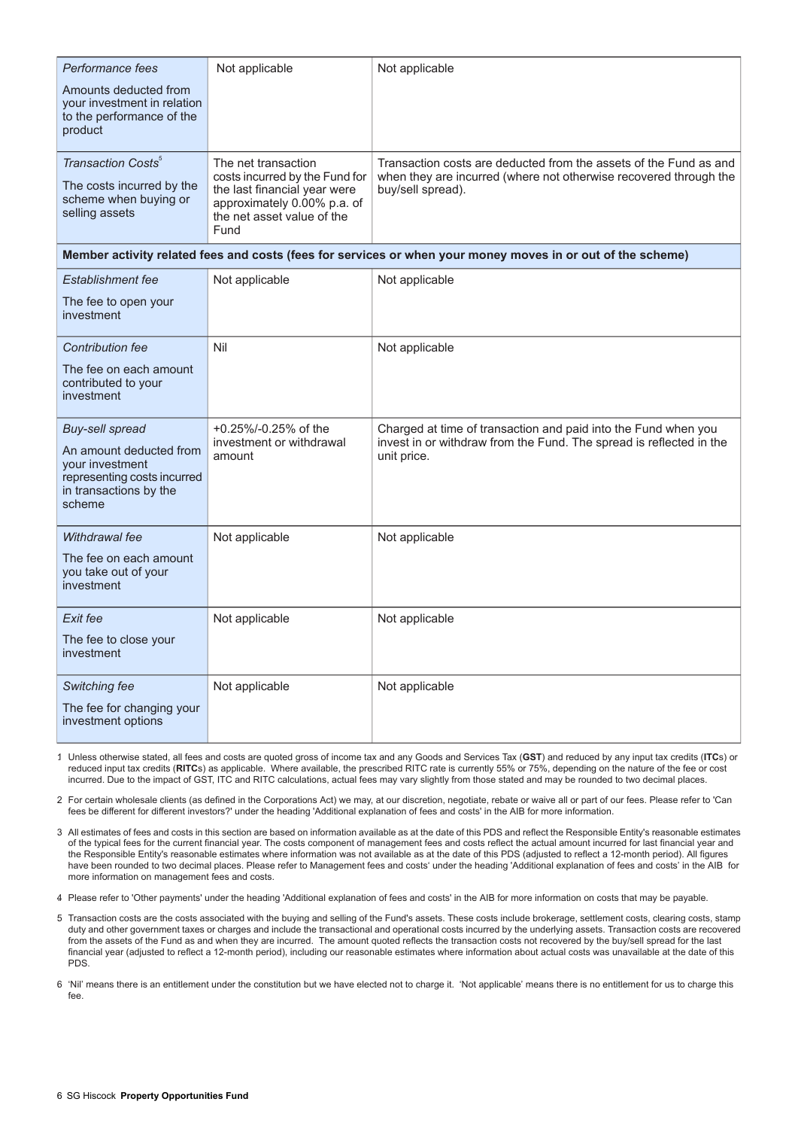| Performance fees                                                                                                                        | Not applicable                                                                                                                                             | Not applicable                                                                                                                                              |  |  |
|-----------------------------------------------------------------------------------------------------------------------------------------|------------------------------------------------------------------------------------------------------------------------------------------------------------|-------------------------------------------------------------------------------------------------------------------------------------------------------------|--|--|
| Amounts deducted from<br>your investment in relation<br>to the performance of the<br>product                                            |                                                                                                                                                            |                                                                                                                                                             |  |  |
| Transaction Costs <sup>5</sup><br>The costs incurred by the<br>scheme when buying or<br>selling assets                                  | The net transaction<br>costs incurred by the Fund for<br>the last financial year were<br>approximately 0.00% p.a. of<br>the net asset value of the<br>Fund | Transaction costs are deducted from the assets of the Fund as and<br>when they are incurred (where not otherwise recovered through the<br>buy/sell spread). |  |  |
| Member activity related fees and costs (fees for services or when your money moves in or out of the scheme)                             |                                                                                                                                                            |                                                                                                                                                             |  |  |
| <b>Establishment fee</b>                                                                                                                | Not applicable                                                                                                                                             | Not applicable                                                                                                                                              |  |  |
| The fee to open your<br>investment                                                                                                      |                                                                                                                                                            |                                                                                                                                                             |  |  |
| <b>Contribution fee</b>                                                                                                                 | Nil                                                                                                                                                        | Not applicable                                                                                                                                              |  |  |
| The fee on each amount<br>contributed to your<br>investment                                                                             |                                                                                                                                                            |                                                                                                                                                             |  |  |
| <b>Buy-sell spread</b><br>An amount deducted from<br>your investment<br>representing costs incurred<br>in transactions by the<br>scheme | +0.25%/-0.25% of the<br>investment or withdrawal<br>amount                                                                                                 | Charged at time of transaction and paid into the Fund when you<br>invest in or withdraw from the Fund. The spread is reflected in the<br>unit price.        |  |  |
| Withdrawal fee                                                                                                                          | Not applicable                                                                                                                                             | Not applicable                                                                                                                                              |  |  |
| The fee on each amount<br>you take out of your<br>investment                                                                            |                                                                                                                                                            |                                                                                                                                                             |  |  |
| Exit fee                                                                                                                                | Not applicable                                                                                                                                             | Not applicable                                                                                                                                              |  |  |
| The fee to close your<br>investment                                                                                                     |                                                                                                                                                            |                                                                                                                                                             |  |  |
| Switching fee                                                                                                                           | Not applicable                                                                                                                                             | Not applicable                                                                                                                                              |  |  |
| The fee for changing your<br>investment options                                                                                         |                                                                                                                                                            |                                                                                                                                                             |  |  |

1. Unless otherwise stated, all fees and costs are quoted gross of income tax and any Goods and Services Tax (**GST**) and reduced by any input tax credits (**ITC**s) or reduced input tax credits (**RITC**s) as applicable. Where available, the prescribed RITC rate is currently 55% or 75%, depending on the nature of the fee or cost incurred. Due to the impact of GST, ITC and RITC calculations, actual fees may vary slightly from those stated and may be rounded to two decimal places.

2. For certain wholesale clients (as defined in the Corporations Act) we may, at our discretion, negotiate, rebate or waive all or part of our fees. Please refer to 'Can fees be different for different investors?' under the heading 'Additional explanation of fees and costs' in the AIB for more information.

3. All estimates of fees and costs in this section are based on information available as at the date of this PDS and reflect the Responsible Entity's reasonable estimates of the typical fees for the current financial year. The costs component of management fees and costs reflect the actual amount incurred for last financial year and the Responsible Entity's reasonable estimates where information was not available as at the date of this PDS (adjusted to reflect a 12-month period). All figures have been rounded to two decimal places. Please refer to Management fees and costs' under the heading 'Additional explanation of fees and costs' in the AIB for more information on management fees and costs.

4. Please refer to 'Other payments' under the heading 'Additional explanation of fees and costs' in the AIB for more information on costs that may be payable.

5. Transaction costs are the costs associated with the buying and selling of the Fund's assets. These costs include brokerage, settlement costs, clearing costs, stamp duty and other government taxes or charges and include the transactional and operational costs incurred by the underlying assets. Transaction costs are recovered from the assets of the Fund as and when they are incurred. The amount quoted reflects the transaction costs not recovered by the buy/sell spread for the last financial year (adjusted to reflect a 12-month period), including our reasonable estimates where information about actual costs was unavailable at the date of this PDS.

6. 'Nil' means there is an entitlement under the constitution but we have elected not to charge it. 'Not applicable' means there is no entitlement for us to charge this fee.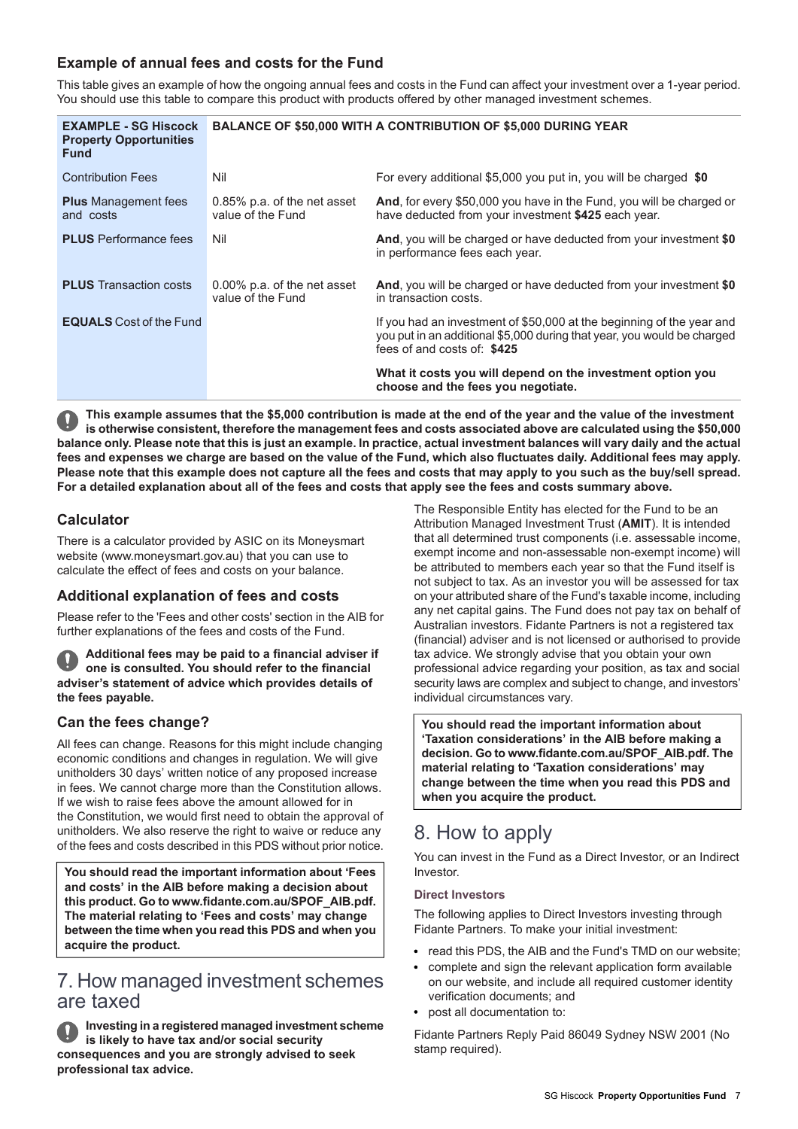# **Example of annual fees and costs for the Fund**

This table gives an example of how the ongoing annual fees and costs in the Fund can affect your investment over a 1-year period. You should use this table to compare this product with products offered by other managed investment schemes.

| <b>EXAMPLE - SG Hiscock</b><br><b>Property Opportunities</b><br><b>Fund</b> | <b>BALANCE OF \$50,000 WITH A CONTRIBUTION OF \$5,000 DURING YEAR</b> |                                                                                                                                                                                 |
|-----------------------------------------------------------------------------|-----------------------------------------------------------------------|---------------------------------------------------------------------------------------------------------------------------------------------------------------------------------|
| <b>Contribution Fees</b>                                                    | Nil                                                                   | For every additional \$5,000 you put in, you will be charged \$0                                                                                                                |
| <b>Plus</b> Management fees<br>and costs                                    | 0.85% p.a. of the net asset<br>value of the Fund                      | And, for every \$50,000 you have in the Fund, you will be charged or<br>have deducted from your investment \$425 each year.                                                     |
| <b>PLUS</b> Performance fees                                                | Nil                                                                   | And, you will be charged or have deducted from your investment \$0<br>in performance fees each year.                                                                            |
| <b>PLUS</b> Transaction costs                                               | 0.00% p.a. of the net asset<br>value of the Fund                      | And, you will be charged or have deducted from your investment \$0<br>in transaction costs.                                                                                     |
| <b>EQUALS</b> Cost of the Fund                                              |                                                                       | If you had an investment of \$50,000 at the beginning of the year and<br>you put in an additional \$5,000 during that year, you would be charged<br>fees of and costs of: \$425 |
|                                                                             |                                                                       | What it costs you will depend on the investment option you<br>choose and the fees you negotiate.                                                                                |

This example assumes that the \$5,000 contribution is made at the end of the year and the value of the investment is otherwise consistent, therefore the management fees and costs associated above are calculated using the \$50,000 balance only. Please note that this is just an example. In practice, actual investment balances will vary daily and the actual fees and expenses we charge are based on the value of the Fund, which also fluctuates daily. Additional fees may apply. Please note that this example does not capture all the fees and costs that may apply to you such as the buy/sell spread. For a detailed explanation about all of the fees and costs that apply see the fees and costs summary above.

# **Calculator**

There is a calculator provided by ASIC on its Moneysmart website (www.moneysmart.gov.au) that you can use to calculate the effect of fees and costs on your balance.

# **Additional explanation of fees and costs**

Please refer to the 'Fees and other costs' section in the AIB for further explanations of the fees and costs of the Fund.

**Additional fees may be paid to a financial adviser if one is consulted. You should refer to the financial adviser's statement of advice which provides details of the fees payable.**

# **Can the fees change?**

All fees can change. Reasons for this might include changing economic conditions and changes in regulation. We will give unitholders 30 days' written notice of any proposed increase in fees. We cannot charge more than the Constitution allows. If we wish to raise fees above the amount allowed for in the Constitution, we would first need to obtain the approval of unitholders. We also reserve the right to waive or reduce any of the fees and costs described in this PDS without prior notice.

<span id="page-6-0"></span>**You should read the important information about 'Fees and costs' in the AIB before making a decision about this product. Go to www.fidante.com.au/SPOF\_AIB.pdf. The material relating to 'Fees and costs' may change between the time when you read this PDS and when you acquire the product.**

# 7. How managed investment schemes are taxed

**Investing in a registered managed investment scheme is likely to have tax and/or social security consequences and you are strongly advised to seek professional tax advice.**

The Responsible Entity has elected for the Fund to be an Attribution Managed Investment Trust (**AMIT**). It is intended that all determined trust components (i.e. assessable income, exempt income and non-assessable non-exempt income) will be attributed to members each year so that the Fund itself is not subject to tax. As an investor you will be assessed for tax on your attributed share of the Fund's taxable income, including any net capital gains. The Fund does not pay tax on behalf of Australian investors. Fidante Partners is not a registered tax (financial) adviser and is not licensed or authorised to provide tax advice. We strongly advise that you obtain your own professional advice regarding your position, as tax and social security laws are complex and subject to change, and investors' individual circumstances vary.

<span id="page-6-1"></span>**You should read the important information about 'Taxation considerations' in the AIB before making a decision. Go to www.fidante.com.au/SPOF\_AIB.pdf. The material relating to 'Taxation considerations' may change between the time when you read this PDS and when you acquire the product.**

# 8. How to apply

You can invest in the Fund as a Direct Investor, or an Indirect Investor.

#### **Direct Investors**

The following applies to Direct Investors investing through Fidante Partners. To make your initial investment:

- read this PDS, the AIB and the Fund's TMD on our website;
- complete and sign the relevant application form available on our website, and include all required customer identity verification documents; and
- post all documentation to:

Fidante Partners Reply Paid 86049 Sydney NSW 2001 (No stamp required).